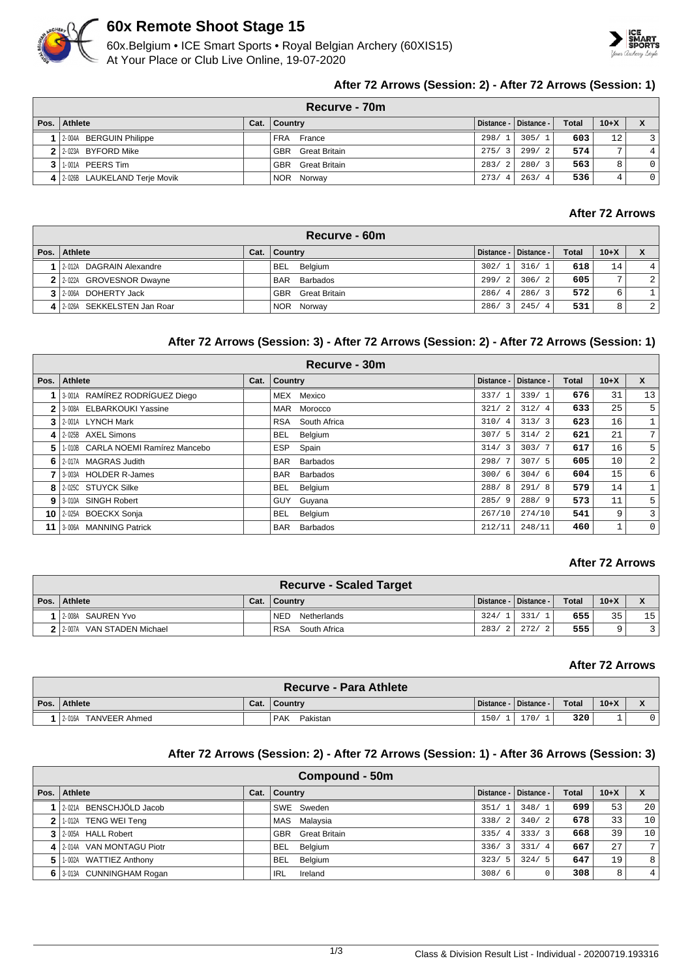

# **60x Remote Shoot Stage 15**

60x.Belgium • ICE Smart Sports • Royal Belgian Archery (60XIS15) At Your Place or Club Live Online, 19-07-2020



# **After 72 Arrows (Session: 2) - After 72 Arrows (Session: 1)**

|              | Recurve - 70m                  |      |                             |                      |                         |              |                |              |  |  |  |
|--------------|--------------------------------|------|-----------------------------|----------------------|-------------------------|--------------|----------------|--------------|--|--|--|
| Pos. $\vert$ | Athlete                        | Cat. | Country                     |                      | Distance -   Distance - | <b>Total</b> | $10+X$         |              |  |  |  |
|              | 2-004A BERGUIN Philippe        |      | FRA France                  | 298/1                | 305/1                   | 603          | 12             |              |  |  |  |
|              | 2 2 2 023A BYFORD Mike         |      | <b>GBR</b><br>Great Britain | 275/3                | 299/2                   | 574          | $\overline{ }$ | 4            |  |  |  |
|              | 3 1.001A PEERS Tim             |      | <b>GBR</b><br>Great Britain | 283/<br>$^{\circ}$ 2 | 280/3                   | 563          |                | $\mathbf{0}$ |  |  |  |
|              | 4 2.026B LAUKELAND Terje Movik |      | NOR Norway                  | 273/<br>4            | 263/4                   | 536          |                | $\mathbf 0$  |  |  |  |

# **After 72 Arrows**

| Recurve - 60m               |      |             |               |                        |                         |              |        |                |  |  |  |
|-----------------------------|------|-------------|---------------|------------------------|-------------------------|--------------|--------|----------------|--|--|--|
| Pos.   Athlete              | Cat. | $ $ Country |               |                        | Distance -   Distance - | <b>Total</b> | $10+X$ |                |  |  |  |
| 2-012A DAGRAIN Alexandre    |      |             | BEL Belaium   | 302/1                  | 316/1                   | 618          | 14     |                |  |  |  |
| 2 2-022A GROVESNOR Dwayne   |      | <b>BAR</b>  | Barbados      | 299/2                  | 306/2                   | 605          | o      | 2 <sup>1</sup> |  |  |  |
| 3 2-006A DOHERTY Jack       |      | GBR         | Great Britain | 286/<br>$\overline{4}$ | 286/3                   | 572          | 6      |                |  |  |  |
| 4 2026A SEKKELSTEN Jan Roar |      |             | NOR Norway    | 286/                   | 245/<br>-4              | 531          | 8      | 2              |  |  |  |

# **After 72 Arrows (Session: 3) - After 72 Arrows (Session: 2) - After 72 Arrows (Session: 1)**

|      | Recurve - 30m                      |      |                        |            |            |              |                 |                  |  |  |  |  |
|------|------------------------------------|------|------------------------|------------|------------|--------------|-----------------|------------------|--|--|--|--|
| Pos. | Athlete                            | Cat. | Country                | Distance - | Distance - | <b>Total</b> | $10+X$          | $\mathbf{x}$     |  |  |  |  |
|      | 3-001A RAMÍREZ RODRÍGUEZ Diego     |      | MEX Mexico             | 337/1      | 339/1      | 676          | 31              | 13               |  |  |  |  |
| 2    | 3-008A ELBARKOUKI Yassine          |      | MAR<br>Morocco         | 321/2      | 312/4      | 633          | 25              | 5 <sup>1</sup>   |  |  |  |  |
| 3    | 2-001A LYNCH Mark                  |      | RSA South Africa       | 310/4      | 313/3      | 623          | 16              |                  |  |  |  |  |
| 4    | 2-025B AXEL Simons                 |      | <b>BEL</b><br>Belgium  | 307/5      | 314/2      | 621          | 21              | 7 <sup>1</sup>   |  |  |  |  |
| 5.   | 1-010B CARLA NOEMI Ramírez Mancebo |      | <b>ESP</b><br>Spain    | 314/3      | 303/7      | 617          | 16              | 5 <sup>1</sup>   |  |  |  |  |
| 6    | 2-017A MAGRAS Judith               |      | <b>BAR</b><br>Barbados | 298/7      | 307/5      | 605          | 10              | $\overline{2}$   |  |  |  |  |
|      | 3-003A HOLDER R-James              |      | Barbados<br><b>BAR</b> | 300/6      | 304/6      | 604          | 15              | $6 \overline{6}$ |  |  |  |  |
| 8    | 2-025C STUYCK Silke                |      | <b>BEL</b><br>Belgium  | 288/8      | 291/8      | 579          | 14 <sub>1</sub> | $\mathbf{1}$     |  |  |  |  |
| 9    | 3-010A SINGH Robert                |      | Guyana<br><b>GUY</b>   | 285/9      | 288/9      | 573          | 11              | 5 <sup>1</sup>   |  |  |  |  |
|      | 10 2-025A BOECKX Sonja             |      | BEL.<br>Belgium        | 267/10     | 274/10     | 541          | 9               | $\overline{3}$   |  |  |  |  |
| 11   | 3-006A MANNING Patrick             |      | <b>BAR</b><br>Barbados | 212/11     | 248/11     | 460          |                 | $\overline{0}$   |  |  |  |  |

#### **After 72 Arrows**

| <b>Recurve - Scaled Target</b> |      |                            |      |                         |              |        |                |  |  |  |
|--------------------------------|------|----------------------------|------|-------------------------|--------------|--------|----------------|--|--|--|
| Pos. Athlete                   | Cat. | ∣ Countrv                  |      | Distance -   Distance - | <b>Total</b> | $10+X$ |                |  |  |  |
| 2-008A SAUREN Yvo              |      | <b>NED</b><br>Netherlands  | 324/ | 331/                    | 655          | 35     | 15             |  |  |  |
| 2-007A VAN STADEN Michael      |      | South Africa<br><b>RSA</b> |      | 283/2   272/2           | 555          | Q      | $\overline{ }$ |  |  |  |

#### **After 72 Arrows**

|      | <b>Recurve - Para Athlete</b> |      |                        |            |            |              |        |                                    |  |  |
|------|-------------------------------|------|------------------------|------------|------------|--------------|--------|------------------------------------|--|--|
| Pos. | Athlete                       | Cat. | Country                | Distance - | Distance - | <b>Total</b> | $10+X$ | $\mathbf{v}$<br>$\mathbf{\Lambda}$ |  |  |
|      | 2-016A<br>TANVEER Ahmed       |      | <b>PAK</b><br>Pakistan | 150/       | 170/       | 320          |        |                                    |  |  |

### **After 72 Arrows (Session: 2) - After 72 Arrows (Session: 1) - After 36 Arrows (Session: 3)**

| Compound - 50m             |      |                          |                        |                         |              |        |    |  |  |  |
|----------------------------|------|--------------------------|------------------------|-------------------------|--------------|--------|----|--|--|--|
| Pos. Athlete               | Cat. | <b>Country</b>           |                        | Distance -   Distance - | <b>Total</b> | $10+X$ |    |  |  |  |
| 1 2.021A BENSCHJÖLD Jacob  |      | SWE Sweden               | 351/                   | 348/1                   | 699          | 53     | 20 |  |  |  |
| 2 1.012A TENG WEI Teng     |      | MAS Malaysia             | 338/<br>-2             | 340/2                   | 678          | 33     | 10 |  |  |  |
| 3 2-005A HALL Robert       |      | <b>GBR</b> Great Britain | 335/<br>$\overline{4}$ | 333/3                   | 668          | 39     | 10 |  |  |  |
| 4 2.014A VAN MONTAGU Piotr |      | <b>BEL</b><br>Belgium    | 336/<br>$\overline{3}$ | 331/4                   | 667          | 27     | 7  |  |  |  |
| 5 1.002A WATTIEZ Anthony   |      | Belgium<br><b>BEL</b>    | 323/5                  | 324/5                   | 647          | 19     | 8  |  |  |  |
| 6 3-013A CUNNINGHAM Rogan  |      | <b>IRL</b><br>Ireland    | 308/6                  |                         | 308          | 8      | 4  |  |  |  |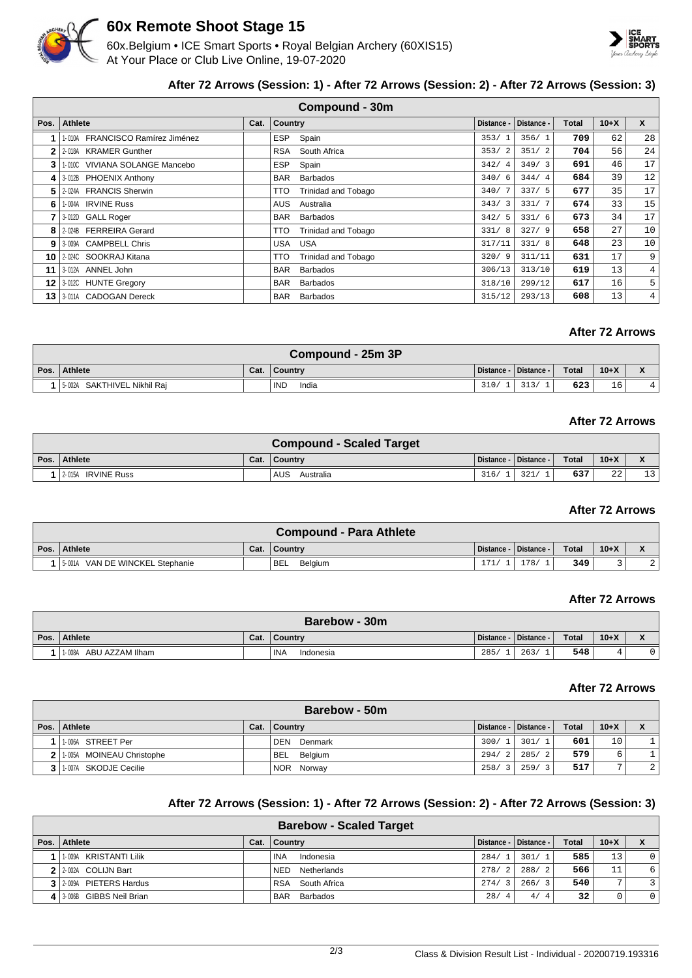

# **60x Remote Shoot Stage 15**

60x.Belgium • ICE Smart Sports • Royal Belgian Archery (60XIS15) At Your Place or Club Live Online, 19-07-2020



# **After 72 Arrows (Session: 1) - After 72 Arrows (Session: 2) - After 72 Arrows (Session: 3)**

|      | <b>Compound - 30m</b>            |      |                |                            |                        |            |       |        |                |  |  |
|------|----------------------------------|------|----------------|----------------------------|------------------------|------------|-------|--------|----------------|--|--|
| Pos. | Athlete                          | Cat. | <b>Country</b> |                            | Distance -             | Distance - | Total | $10+X$ | $\mathsf{x}$   |  |  |
|      | 1-010A FRANCISCO Ramírez Jiménez |      | <b>ESP</b>     | Spain                      | 353/                   | 356/1      | 709   | 62     | 28             |  |  |
| 2    | 2-018A KRAMER Gunther            |      | RSA            | South Africa               | 353/2                  | 351/2      | 704   | 56     | 24             |  |  |
| 3    | 1-010C VIVIANA SOLANGE Mancebo   |      | <b>ESP</b>     | Spain                      | 342/<br>$\overline{4}$ | 349/3      | 691   | 46     | 17             |  |  |
| 4    | 3-012B PHOENIX Anthony           |      | <b>BAR</b>     | <b>Barbados</b>            | 340/6                  | 344/4      | 684   | 39     | 12             |  |  |
| 5    | 2-024A FRANCIS Sherwin           |      | TTO            | Trinidad and Tobago        | 340/                   | 337/5      | 677   | 35     | 17             |  |  |
| 6    | 1-004A IRVINE Russ               |      | AUS            | Australia                  | 343/3                  | 331/7      | 674   | 33     | 15             |  |  |
|      | 3-012D GALL Roger                |      | <b>BAR</b>     | <b>Barbados</b>            | 342/5                  | 331/6      | 673   | 34     | 17             |  |  |
| 8    | 2-024B FERREIRA Gerard           |      | TTO            | <b>Trinidad and Tobago</b> | 331/8                  | 327/9      | 658   | 27     | 10             |  |  |
| 9    | 3-009A CAMPBELL Chris            |      | <b>USA</b>     | <b>USA</b>                 | 317/11                 | 331/8      | 648   | 23     | 10             |  |  |
| 10   | 2-024C SOOKRAJ Kitana            |      | TTO            | Trinidad and Tobago        | 320/9                  | 311/11     | 631   | 17     | 9              |  |  |
| 11   | 3-012A ANNEL John                |      | <b>BAR</b>     | <b>Barbados</b>            | 306/13                 | 313/10     | 619   | 13     | $\overline{4}$ |  |  |
| 12   | 3-012C HUNTE Gregory             |      | <b>BAR</b>     | <b>Barbados</b>            | 318/10                 | 299/12     | 617   | 16     | 5              |  |  |
| 13   | 3-011A CADOGAN Dereck            |      | <b>BAR</b>     | <b>Barbados</b>            | 315/12                 | 293/13     | 608   | 13     | $\overline{4}$ |  |  |

# **After 72 Arrows**

| Compound - 25m 3P              |      |                     |            |            |              |        |              |  |  |  |
|--------------------------------|------|---------------------|------------|------------|--------------|--------|--------------|--|--|--|
| Pos. Athlete                   | Cat. | <b>Country</b>      | Distance - | Distance - | <b>Total</b> | $10+X$ | $\mathbf{v}$ |  |  |  |
| SAKTHIVEL Nikhil Rai<br>5-002A |      | <b>IND</b><br>India | 310/       | 313        | 623          | 16     |              |  |  |  |

# **After 72 Arrows**

|                              |      | <b>Compound - Scaled Target</b> |                         |     |       |              |    |
|------------------------------|------|---------------------------------|-------------------------|-----|-------|--------------|----|
| Pos. Athlete                 | Cat. | ∣ Countrv                       | Distance -   Distance - |     | Total | $10+X$       |    |
| <b>IRVINE Russ</b><br>2-015A |      | AUS<br>Australia                | 316/                    | 321 | 637   | $\cap$<br>44 | 13 |

# **After 72 Arrows**

|                                 |      | <b>Compound - Para Athlete</b> |      |                         |              |        |  |
|---------------------------------|------|--------------------------------|------|-------------------------|--------------|--------|--|
| Pos. Athlete                    | Cat. | ∣ Countrv                      |      | Distance -   Distance - | <b>Total</b> | $10+X$ |  |
| 5-001A VAN DE WINCKEL Stephanie |      | BEL<br>Belgium                 | 171/ | 178/                    | 349          |        |  |

### **After 72 Arrows**

| Barebow - 30m             |      |                  |            |            |       |        |              |  |  |
|---------------------------|------|------------------|------------|------------|-------|--------|--------------|--|--|
| Pos. Athlete              | Cat. | Country          | Distance - | Distance - | Total | $10+X$ | $\mathbf{v}$ |  |  |
| ABU AZZAM Ilham<br>1-008A |      | INA<br>Indonesia | 285/       | 263/       | 548   |        |              |  |  |

### **After 72 Arrows**

| Barebow - 50m             |      |                    |             |                         |              |        |   |  |  |  |
|---------------------------|------|--------------------|-------------|-------------------------|--------------|--------|---|--|--|--|
| Pos.   Athlete            | Cat. | ∣ Countrv          |             | Distance -   Distance - | <b>Total</b> | $10+X$ |   |  |  |  |
| 1.006A STREET Per         |      | DEN<br>Denmark     | 300/1       | 301/1                   | 601          | 10     |   |  |  |  |
| 1-005A MOINEAU Christophe |      | <b>BEL</b> Belgium | 294/2       | 285/2                   | 579          | 6      |   |  |  |  |
| 3 1 1 007A SKODJE Cecilie |      | NOR Norway         | 258/<br>- 2 | 259/31                  | 517          | ⇁      | 2 |  |  |  |

# **After 72 Arrows (Session: 1) - After 72 Arrows (Session: 2) - After 72 Arrows (Session: 3)**

| <b>Barebow - Scaled Target</b> |                          |      |                           |                        |                         |              |        |             |  |  |  |  |
|--------------------------------|--------------------------|------|---------------------------|------------------------|-------------------------|--------------|--------|-------------|--|--|--|--|
| Pos. $\vert$                   | Athlete                  | Cat. | <b>Country</b>            |                        | Distance -   Distance - | <b>Total</b> | $10+X$ |             |  |  |  |  |
|                                | 1009A KRISTANTI Lilik    |      | ' INA<br>Indonesia        | 284/                   | 301/1                   | 585          | 13     | $\Omega$    |  |  |  |  |
|                                | 2 2:002A COLIJN Bart     |      | Netherlands<br><b>NED</b> | 278/<br>$\overline{2}$ | 288/2                   | 566          | 11     | 6           |  |  |  |  |
|                                | 3 2009A PIETERS Hardus   |      | RSA South Africa          | 274/                   | 266/3                   | 540          | ⇁      | 3           |  |  |  |  |
|                                | 4 3006B GIBBS Neil Brian |      | <b>BAR</b><br>Barbados    | 28/<br>4               | 4/4                     | 32           |        | $\mathbf 0$ |  |  |  |  |